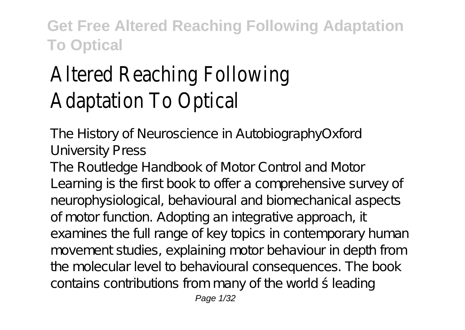# Altered Reaching Following Adaptation To Optical

The History of Neuroscience in AutobiographyOxford University Press

The Routledge Handbook of Motor Control and Motor Learning is the first book to offer a comprehensive survey of neurophysiological, behavioural and biomechanical aspects of motor function. Adopting an integrative approach, it examines the full range of key topics in contemporary human movement studies, explaining motor behaviour in depth from the molecular level to behavioural consequences. The book contains contributions from many of the world ́s leading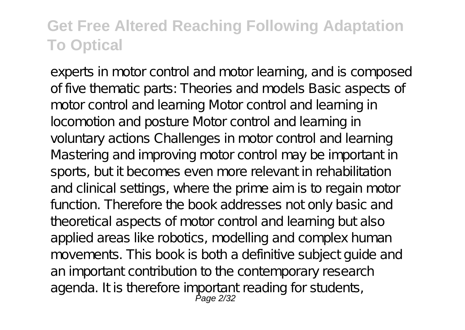experts in motor control and motor learning, and is composed of five thematic parts: Theories and models Basic aspects of motor control and learning Motor control and learning in locomotion and posture Motor control and learning in voluntary actions Challenges in motor control and learning Mastering and improving motor control may be important in sports, but it becomes even more relevant in rehabilitation and clinical settings, where the prime aim is to regain motor function. Therefore the book addresses not only basic and theoretical aspects of motor control and learning but also applied areas like robotics, modelling and complex human movements. This book is both a definitive subject guide and an important contribution to the contemporary research agenda. It is therefore important reading for students,<br>Page 2/32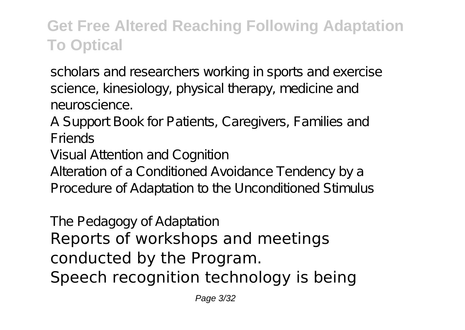scholars and researchers working in sports and exercise science, kinesiology, physical therapy, medicine and neuroscience.

A Support Book for Patients, Caregivers, Families and Friends

Visual Attention and Cognition

Alteration of a Conditioned Avoidance Tendency by a Procedure of Adaptation to the Unconditioned Stimulus

The Pedagogy of Adaptation Reports of workshops and meetings conducted by the Program. Speech recognition technology is being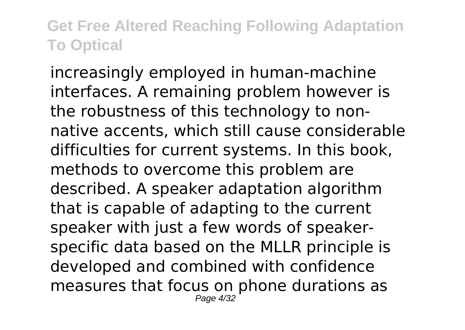increasingly employed in human-machine interfaces. A remaining problem however is the robustness of this technology to nonnative accents, which still cause considerable difficulties for current systems. In this book, methods to overcome this problem are described. A speaker adaptation algorithm that is capable of adapting to the current speaker with just a few words of speakerspecific data based on the MLLR principle is developed and combined with confidence measures that focus on phone durations as Page 4/32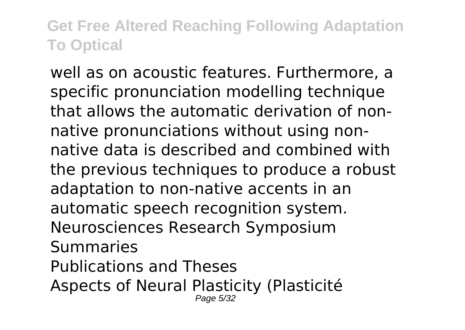well as on acoustic features. Furthermore, a specific pronunciation modelling technique that allows the automatic derivation of nonnative pronunciations without using nonnative data is described and combined with the previous techniques to produce a robust adaptation to non-native accents in an automatic speech recognition system. Neurosciences Research Symposium Summaries Publications and Theses Aspects of Neural Plasticity (Plasticité Page 5/32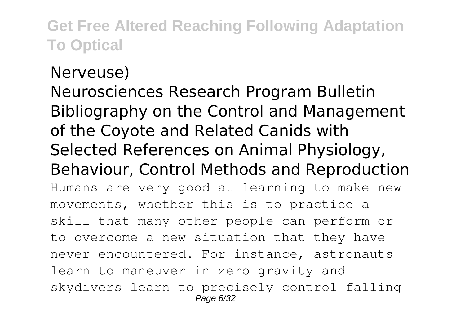#### Nerveuse)

Neurosciences Research Program Bulletin Bibliography on the Control and Management of the Coyote and Related Canids with Selected References on Animal Physiology, Behaviour, Control Methods and Reproduction Humans are very good at learning to make new movements, whether this is to practice a skill that many other people can perform or to overcome a new situation that they have never encountered. For instance, astronauts learn to maneuver in zero gravity and skydivers learn to precisely control falling Page 6/32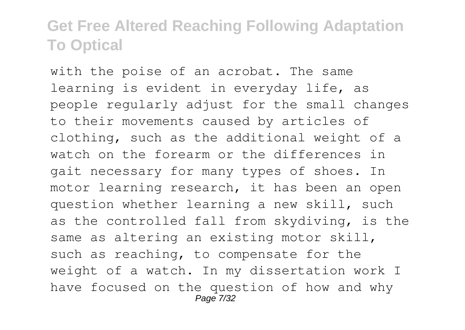with the poise of an acrobat. The same learning is evident in everyday life, as people regularly adjust for the small changes to their movements caused by articles of clothing, such as the additional weight of a watch on the forearm or the differences in gait necessary for many types of shoes. In motor learning research, it has been an open question whether learning a new skill, such as the controlled fall from skydiving, is the same as altering an existing motor skill, such as reaching, to compensate for the weight of a watch. In my dissertation work I have focused on the question of how and why Page 7/32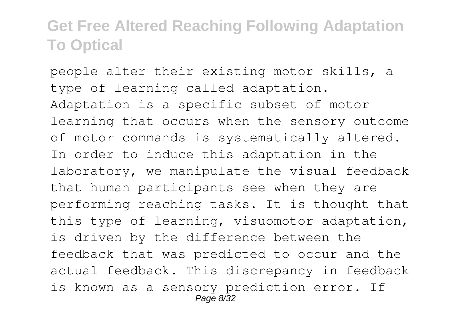people alter their existing motor skills, a type of learning called adaptation. Adaptation is a specific subset of motor learning that occurs when the sensory outcome of motor commands is systematically altered. In order to induce this adaptation in the laboratory, we manipulate the visual feedback that human participants see when they are performing reaching tasks. It is thought that this type of learning, visuomotor adaptation, is driven by the difference between the feedback that was predicted to occur and the actual feedback. This discrepancy in feedback is known as a sensory prediction error. If Page 8/32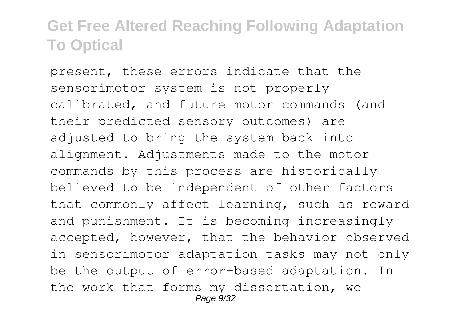present, these errors indicate that the sensorimotor system is not properly calibrated, and future motor commands (and their predicted sensory outcomes) are adjusted to bring the system back into alignment. Adjustments made to the motor commands by this process are historically believed to be independent of other factors that commonly affect learning, such as reward and punishment. It is becoming increasingly accepted, however, that the behavior observed in sensorimotor adaptation tasks may not only be the output of error-based adaptation. In the work that forms my dissertation, we Page 9/32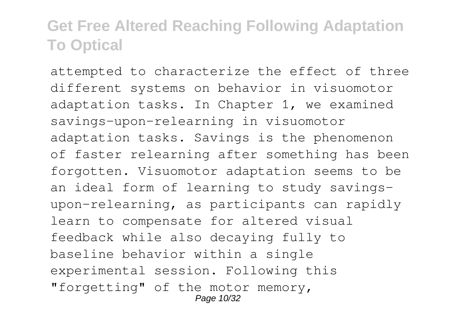attempted to characterize the effect of three different systems on behavior in visuomotor adaptation tasks. In Chapter 1, we examined savings-upon-relearning in visuomotor adaptation tasks. Savings is the phenomenon of faster relearning after something has been forgotten. Visuomotor adaptation seems to be an ideal form of learning to study savingsupon-relearning, as participants can rapidly learn to compensate for altered visual feedback while also decaying fully to baseline behavior within a single experimental session. Following this "forgetting" of the motor memory, Page 10/32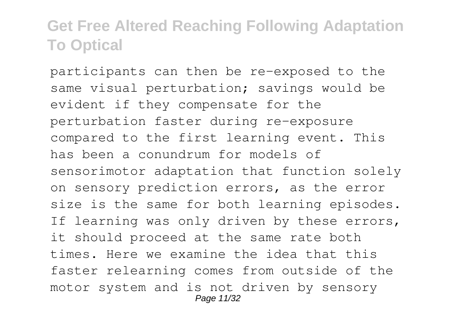participants can then be re-exposed to the same visual perturbation; savings would be evident if they compensate for the perturbation faster during re-exposure compared to the first learning event. This has been a conundrum for models of sensorimotor adaptation that function solely on sensory prediction errors, as the error size is the same for both learning episodes. If learning was only driven by these errors, it should proceed at the same rate both times. Here we examine the idea that this faster relearning comes from outside of the motor system and is not driven by sensory Page 11/32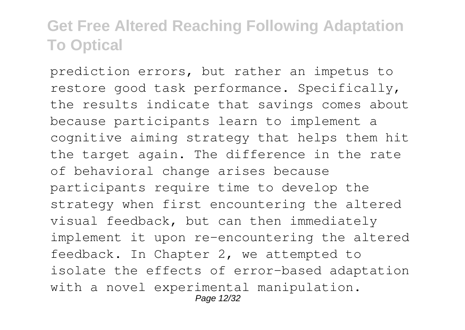prediction errors, but rather an impetus to restore good task performance. Specifically, the results indicate that savings comes about because participants learn to implement a cognitive aiming strategy that helps them hit the target again. The difference in the rate of behavioral change arises because participants require time to develop the strategy when first encountering the altered visual feedback, but can then immediately implement it upon re-encountering the altered feedback. In Chapter 2, we attempted to isolate the effects of error-based adaptation with a novel experimental manipulation. Page 12/32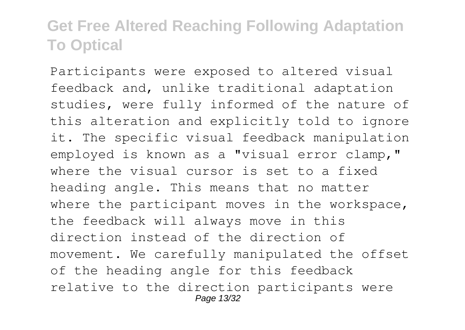Participants were exposed to altered visual feedback and, unlike traditional adaptation studies, were fully informed of the nature of this alteration and explicitly told to ignore it. The specific visual feedback manipulation employed is known as a "visual error clamp," where the visual cursor is set to a fixed heading angle. This means that no matter where the participant moves in the workspace, the feedback will always move in this direction instead of the direction of movement. We carefully manipulated the offset of the heading angle for this feedback relative to the direction participants were Page 13/32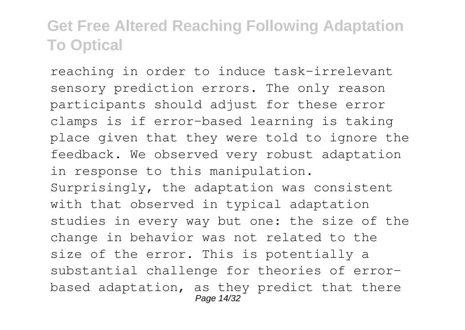reaching in order to induce task-irrelevant sensory prediction errors. The only reason participants should adjust for these error clamps is if error-based learning is taking place given that they were told to ignore the feedback. We observed very robust adaptation in response to this manipulation. Surprisingly, the adaptation was consistent with that observed in typical adaptation studies in every way but one: the size of the change in behavior was not related to the size of the error. This is potentially a substantial challenge for theories of errorbased adaptation, as they predict that there Page 14/32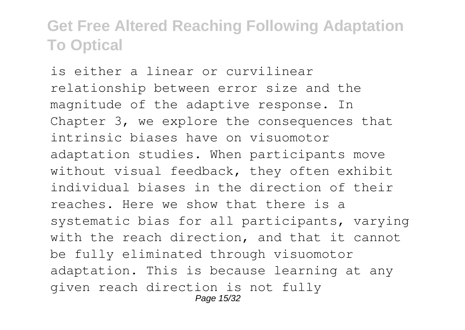is either a linear or curvilinear relationship between error size and the magnitude of the adaptive response. In Chapter 3, we explore the consequences that intrinsic biases have on visuomotor adaptation studies. When participants move without visual feedback, they often exhibit individual biases in the direction of their reaches. Here we show that there is a systematic bias for all participants, varying with the reach direction, and that it cannot be fully eliminated through visuomotor adaptation. This is because learning at any given reach direction is not fully Page 15/32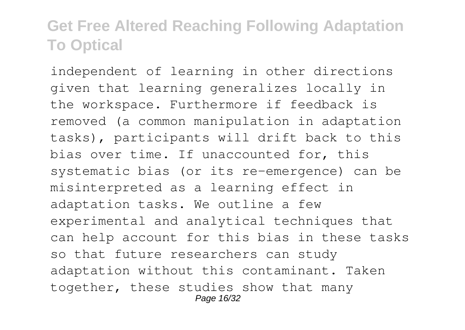independent of learning in other directions given that learning generalizes locally in the workspace. Furthermore if feedback is removed (a common manipulation in adaptation tasks), participants will drift back to this bias over time. If unaccounted for, this systematic bias (or its re-emergence) can be misinterpreted as a learning effect in adaptation tasks. We outline a few experimental and analytical techniques that can help account for this bias in these tasks so that future researchers can study adaptation without this contaminant. Taken together, these studies show that many Page 16/32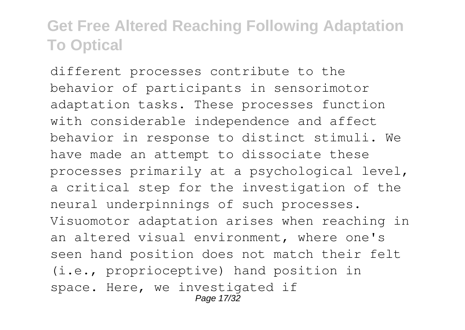different processes contribute to the behavior of participants in sensorimotor adaptation tasks. These processes function with considerable independence and affect behavior in response to distinct stimuli. We have made an attempt to dissociate these processes primarily at a psychological level, a critical step for the investigation of the neural underpinnings of such processes. Visuomotor adaptation arises when reaching in an altered visual environment, where one's seen hand position does not match their felt (i.e., proprioceptive) hand position in space. Here, we investigated if Page 17/32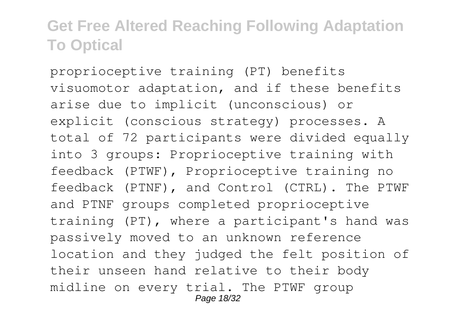proprioceptive training (PT) benefits visuomotor adaptation, and if these benefits arise due to implicit (unconscious) or explicit (conscious strategy) processes. A total of 72 participants were divided equally into 3 groups: Proprioceptive training with feedback (PTWF), Proprioceptive training no feedback (PTNF), and Control (CTRL). The PTWF and PTNF groups completed proprioceptive training (PT), where a participant's hand was passively moved to an unknown reference location and they judged the felt position of their unseen hand relative to their body midline on every trial. The PTWF group Page 18/32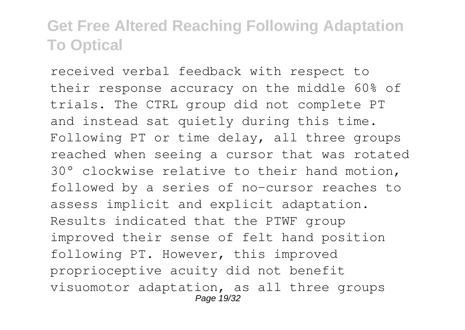received verbal feedback with respect to their response accuracy on the middle 60% of trials. The CTRL group did not complete PT and instead sat quietly during this time. Following PT or time delay, all three groups reached when seeing a cursor that was rotated 30° clockwise relative to their hand motion, followed by a series of no-cursor reaches to assess implicit and explicit adaptation. Results indicated that the PTWF group improved their sense of felt hand position following PT. However, this improved proprioceptive acuity did not benefit visuomotor adaptation, as all three groups Page 19/32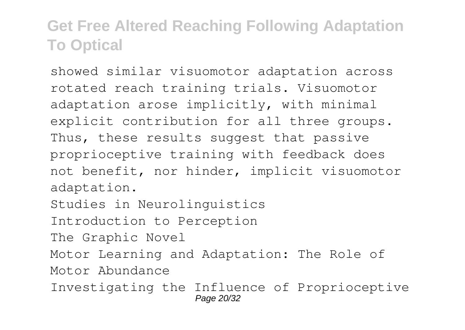showed similar visuomotor adaptation across rotated reach training trials. Visuomotor adaptation arose implicitly, with minimal explicit contribution for all three groups. Thus, these results suggest that passive proprioceptive training with feedback does not benefit, nor hinder, implicit visuomotor adaptation. Studies in Neurolinguistics

Introduction to Perception

The Graphic Novel

Motor Learning and Adaptation: The Role of Motor Abundance

Investigating the Influence of Proprioceptive Page 20/32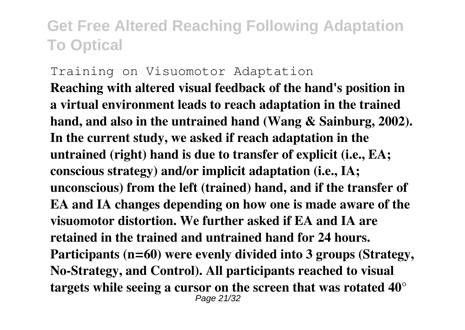Training on Visuomotor Adaptation **Reaching with altered visual feedback of the hand's position in a virtual environment leads to reach adaptation in the trained hand, and also in the untrained hand (Wang & Sainburg, 2002). In the current study, we asked if reach adaptation in the untrained (right) hand is due to transfer of explicit (i.e., EA; conscious strategy) and/or implicit adaptation (i.e., IA; unconscious) from the left (trained) hand, and if the transfer of EA and IA changes depending on how one is made aware of the visuomotor distortion. We further asked if EA and IA are retained in the trained and untrained hand for 24 hours. Participants (n=60) were evenly divided into 3 groups (Strategy, No-Strategy, and Control). All participants reached to visual targets while seeing a cursor on the screen that was rotated 40°** Page 21/32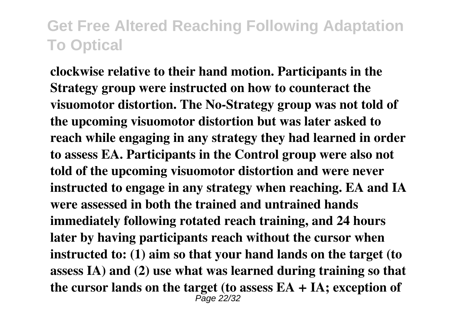**clockwise relative to their hand motion. Participants in the Strategy group were instructed on how to counteract the visuomotor distortion. The No-Strategy group was not told of the upcoming visuomotor distortion but was later asked to reach while engaging in any strategy they had learned in order to assess EA. Participants in the Control group were also not told of the upcoming visuomotor distortion and were never instructed to engage in any strategy when reaching. EA and IA were assessed in both the trained and untrained hands immediately following rotated reach training, and 24 hours later by having participants reach without the cursor when instructed to: (1) aim so that your hand lands on the target (to assess IA) and (2) use what was learned during training so that the cursor lands on the target (to assess EA + IA; exception of** Page 22/32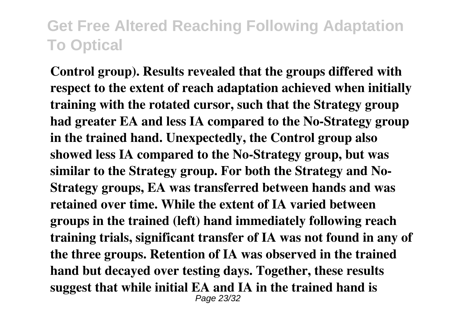**Control group). Results revealed that the groups differed with respect to the extent of reach adaptation achieved when initially training with the rotated cursor, such that the Strategy group had greater EA and less IA compared to the No-Strategy group in the trained hand. Unexpectedly, the Control group also showed less IA compared to the No-Strategy group, but was similar to the Strategy group. For both the Strategy and No-Strategy groups, EA was transferred between hands and was retained over time. While the extent of IA varied between groups in the trained (left) hand immediately following reach training trials, significant transfer of IA was not found in any of the three groups. Retention of IA was observed in the trained hand but decayed over testing days. Together, these results suggest that while initial EA and IA in the trained hand is** Page 23/32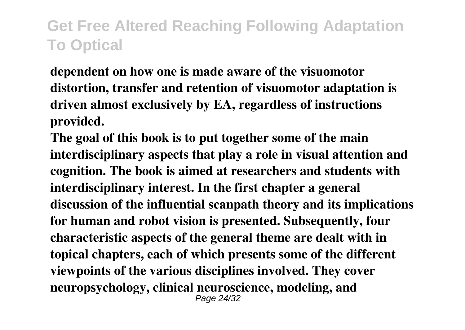**dependent on how one is made aware of the visuomotor distortion, transfer and retention of visuomotor adaptation is driven almost exclusively by EA, regardless of instructions provided.**

**The goal of this book is to put together some of the main interdisciplinary aspects that play a role in visual attention and cognition. The book is aimed at researchers and students with interdisciplinary interest. In the first chapter a general discussion of the influential scanpath theory and its implications for human and robot vision is presented. Subsequently, four characteristic aspects of the general theme are dealt with in topical chapters, each of which presents some of the different viewpoints of the various disciplines involved. They cover neuropsychology, clinical neuroscience, modeling, and** Page 24/32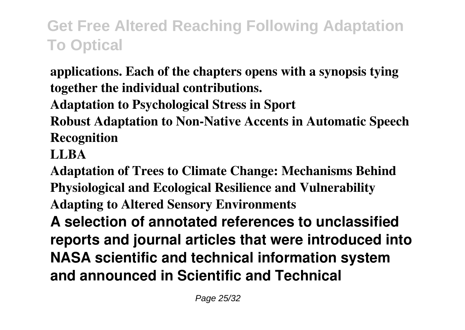**applications. Each of the chapters opens with a synopsis tying together the individual contributions.**

**Adaptation to Psychological Stress in Sport**

**Robust Adaptation to Non-Native Accents in Automatic Speech Recognition**

#### **LLBA**

**Adaptation of Trees to Climate Change: Mechanisms Behind Physiological and Ecological Resilience and Vulnerability Adapting to Altered Sensory Environments A selection of annotated references to unclassified reports and journal articles that were introduced into NASA scientific and technical information system and announced in Scientific and Technical**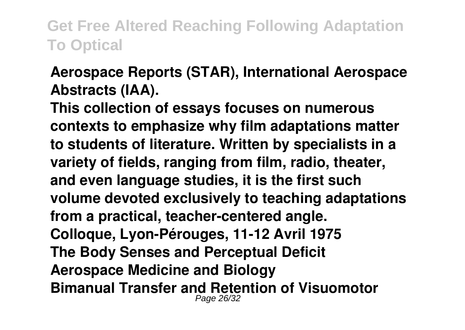#### **Aerospace Reports (STAR), International Aerospace Abstracts (IAA).**

**This collection of essays focuses on numerous contexts to emphasize why film adaptations matter to students of literature. Written by specialists in a variety of fields, ranging from film, radio, theater, and even language studies, it is the first such volume devoted exclusively to teaching adaptations from a practical, teacher-centered angle. Colloque, Lyon-Pérouges, 11-12 Avril 1975 The Body Senses and Perceptual Deficit Aerospace Medicine and Biology Bimanual Transfer and Retention of Visuomotor** Page 26/32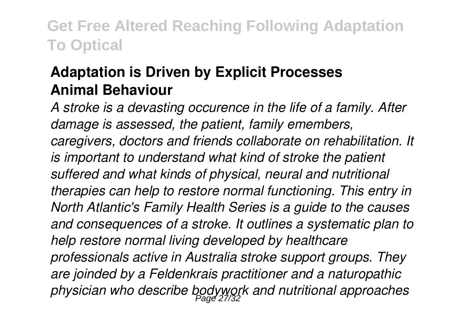#### **Adaptation is Driven by Explicit Processes Animal Behaviour**

*A stroke is a devasting occurence in the life of a family. After damage is assessed, the patient, family emembers, caregivers, doctors and friends collaborate on rehabilitation. It is important to understand what kind of stroke the patient suffered and what kinds of physical, neural and nutritional therapies can help to restore normal functioning. This entry in North Atlantic's Family Health Series is a guide to the causes and consequences of a stroke. It outlines a systematic plan to help restore normal living developed by healthcare professionals active in Australia stroke support groups. They are joinded by a Feldenkrais practitioner and a naturopathic physician who describe bodywork and nutritional approaches* Page 27/32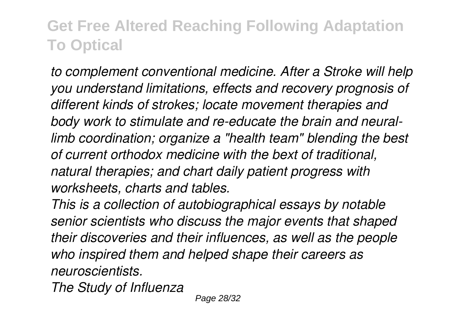*to complement conventional medicine. After a Stroke will help you understand limitations, effects and recovery prognosis of different kinds of strokes; locate movement therapies and body work to stimulate and re-educate the brain and neurallimb coordination; organize a "health team" blending the best of current orthodox medicine with the bext of traditional, natural therapies; and chart daily patient progress with worksheets, charts and tables.*

*This is a collection of autobiographical essays by notable senior scientists who discuss the major events that shaped their discoveries and their influences, as well as the people who inspired them and helped shape their careers as neuroscientists.*

*The Study of Influenza*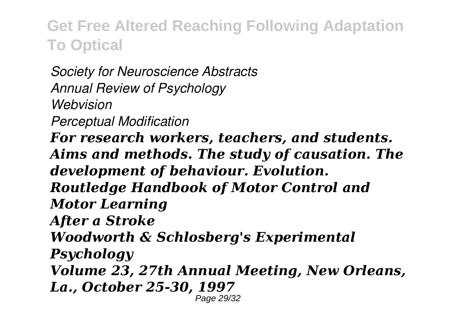*Society for Neuroscience Abstracts Annual Review of Psychology Webvision Perceptual Modification For research workers, teachers, and students. Aims and methods. The study of causation. The development of behaviour. Evolution. Routledge Handbook of Motor Control and Motor Learning After a Stroke Woodworth & Schlosberg's Experimental Psychology Volume 23, 27th Annual Meeting, New Orleans, La., October 25-30, 1997* Page 29/32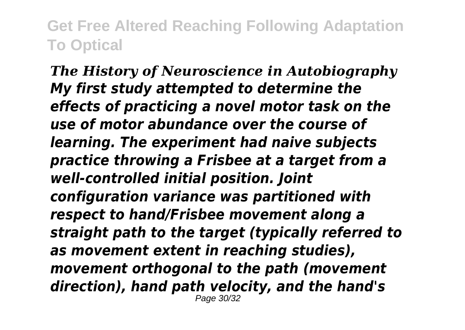*The History of Neuroscience in Autobiography My first study attempted to determine the effects of practicing a novel motor task on the use of motor abundance over the course of learning. The experiment had naive subjects practice throwing a Frisbee at a target from a well-controlled initial position. Joint configuration variance was partitioned with respect to hand/Frisbee movement along a straight path to the target (typically referred to as movement extent in reaching studies), movement orthogonal to the path (movement direction), hand path velocity, and the hand's* Page 30/32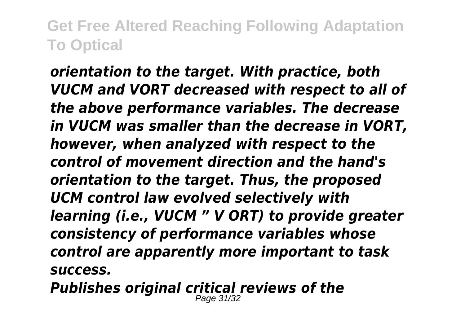*orientation to the target. With practice, both VUCM and VORT decreased with respect to all of the above performance variables. The decrease in VUCM was smaller than the decrease in VORT, however, when analyzed with respect to the control of movement direction and the hand's orientation to the target. Thus, the proposed UCM control law evolved selectively with learning (i.e., VUCM " V ORT) to provide greater consistency of performance variables whose control are apparently more important to task success.*

*Publishes original critical reviews of the* Page 31/32